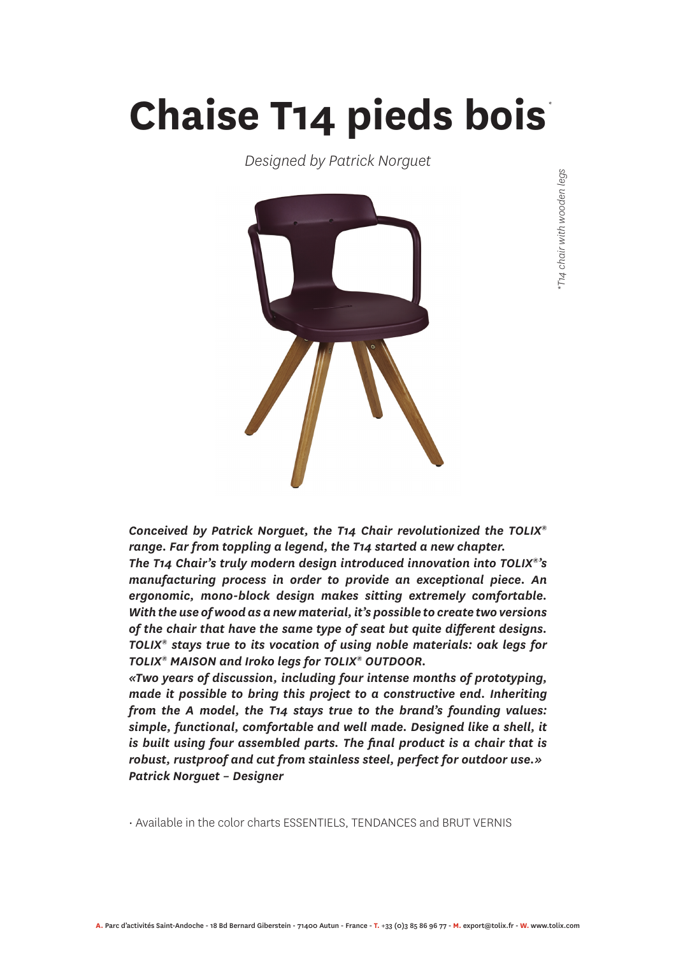## **Chaise T14 pieds bois** *\**

*Designed by Patrick Norguet*



*Conceived by Patrick Norguet, the T14 Chair revolutionized the TOLIX® range. Far from toppling a legend, the T14 started a new chapter. The T14 Chair's truly modern design introduced innovation into TOLIX®'s manufacturing process in order to provide an exceptional piece. An ergonomic, mono-block design makes sitting extremely comfortable. With the use of wood as a new material, it's possible to create two versions of the chair that have the same type of seat but quite different designs. TOLIX® stays true to its vocation of using noble materials: oak legs for TOLIX® MAISON and Iroko legs for TOLIX® OUTDOOR.*

*«Two years of discussion, including four intense months of prototyping, made it possible to bring this project to a constructive end. Inheriting from the A model, the T14 stays true to the brand's founding values: simple, functional, comfortable and well made. Designed like a shell, it is built using four assembled parts. The final product is a chair that is robust, rustproof and cut from stainless steel, perfect for outdoor use.» Patrick Norguet – Designer*

• Available in the color charts ESSENTIELS, TENDANCES and BRUT VERNIS